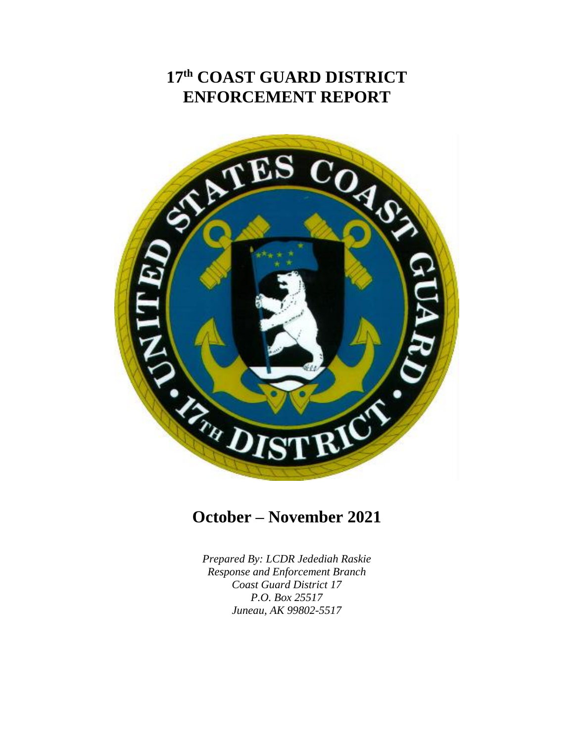# **17 th COAST GUARD DISTRICT ENFORCEMENT REPORT**



## **October – November 2021**

*Prepared By: LCDR Jedediah Raskie Response and Enforcement Branch Coast Guard District 17 P.O. Box 25517 Juneau, AK 99802-5517*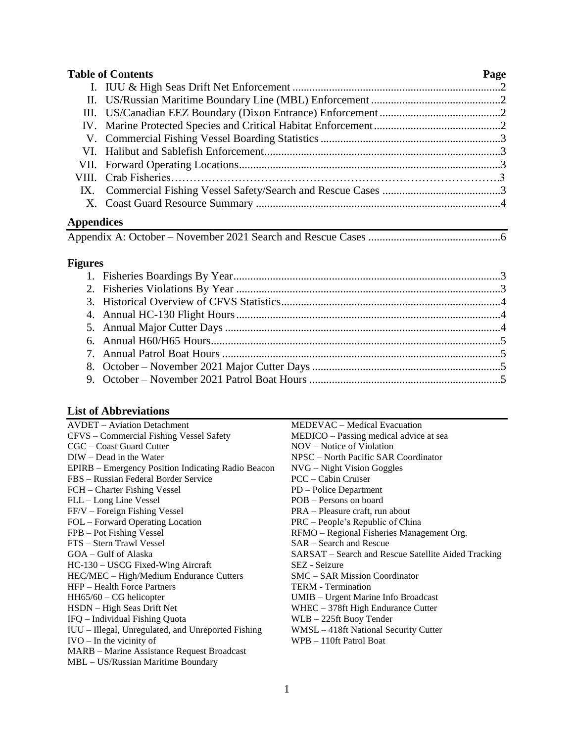| <b>Table of Contents</b> | Page |
|--------------------------|------|
|                          |      |
|                          |      |
|                          |      |
|                          |      |
|                          |      |
|                          |      |
|                          |      |
|                          |      |
|                          |      |
|                          |      |
|                          |      |

### **Appendices**

|--|--|--|

## **Figures**

### **List of Abbreviations**

| еня от троот с гангоня                             |                                                     |
|----------------------------------------------------|-----------------------------------------------------|
| <b>AVDET</b> – Aviation Detachment                 | MEDEVAC – Medical Evacuation                        |
| CFVS - Commercial Fishing Vessel Safety            | MEDICO – Passing medical advice at sea              |
| $CGC - Coast Guard$ Cutter                         | NOV – Notice of Violation                           |
| $DIW - Dead$ in the Water                          | NPSC – North Pacific SAR Coordinator                |
| EPIRB – Emergency Position Indicating Radio Beacon | $NVG - Night Vision Goggles$                        |
| FBS – Russian Federal Border Service               | $PCC - Cabin Curuser$                               |
| FCH – Charter Fishing Vessel                       | PD - Police Department                              |
| FLL - Long Line Vessel                             | POB – Persons on board                              |
| FF/V – Foreign Fishing Vessel                      | PRA – Pleasure craft, run about                     |
| FOL – Forward Operating Location                   | PRC – People's Republic of China                    |
| FPB – Pot Fishing Vessel                           | RFMO - Regional Fisheries Management Org.           |
| FTS - Stern Trawl Vessel                           | $SAR - Search$ and Rescue                           |
| GOA – Gulf of Alaska                               | SARSAT – Search and Rescue Satellite Aided Tracking |
| HC-130 – USCG Fixed-Wing Aircraft                  | SEZ - Seizure                                       |
| HEC/MEC - High/Medium Endurance Cutters            | SMC – SAR Mission Coordinator                       |
| HFP - Health Force Partners                        | <b>TERM</b> - Termination                           |
| $HH65/60 - CG$ helicopter                          | UMIB – Urgent Marine Info Broadcast                 |
| HSDN - High Seas Drift Net                         | $WHEC - 378ft High Endurance$ Cutter                |
| IFQ - Individual Fishing Quota                     | WLB – 225ft Buoy Tender                             |
| IUU - Illegal, Unregulated, and Unreported Fishing | WMSL - 418ft National Security Cutter               |
| $IVO - In the vicinity of$                         | WPB - 110ft Patrol Boat                             |
| MARB - Marine Assistance Request Broadcast         |                                                     |
| MBL – US/Russian Maritime Boundary                 |                                                     |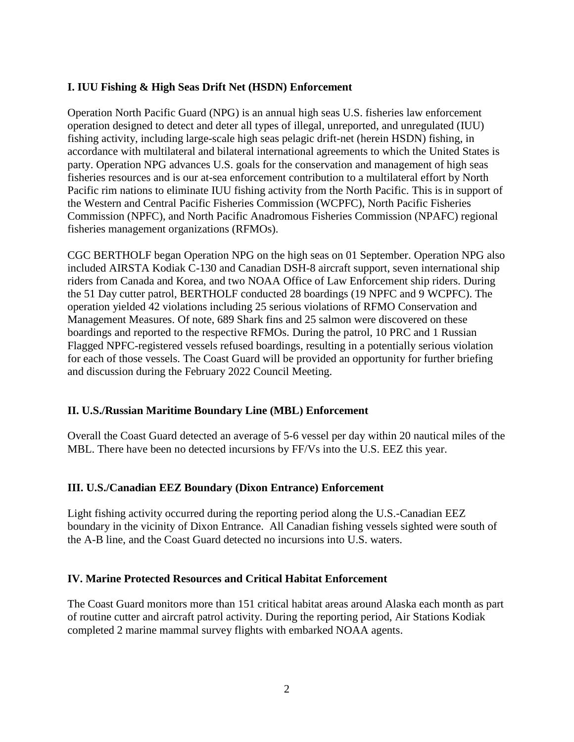#### **I. IUU Fishing & High Seas Drift Net (HSDN) Enforcement**

Operation North Pacific Guard (NPG) is an annual high seas U.S. fisheries law enforcement operation designed to detect and deter all types of illegal, unreported, and unregulated (IUU) fishing activity, including large-scale high seas pelagic drift-net (herein HSDN) fishing, in accordance with multilateral and bilateral international agreements to which the United States is party. Operation NPG advances U.S. goals for the conservation and management of high seas fisheries resources and is our at-sea enforcement contribution to a multilateral effort by North Pacific rim nations to eliminate IUU fishing activity from the North Pacific. This is in support of the Western and Central Pacific Fisheries Commission (WCPFC), North Pacific Fisheries Commission (NPFC), and North Pacific Anadromous Fisheries Commission (NPAFC) regional fisheries management organizations (RFMOs).

CGC BERTHOLF began Operation NPG on the high seas on 01 September. Operation NPG also included AIRSTA Kodiak C-130 and Canadian DSH-8 aircraft support, seven international ship riders from Canada and Korea, and two NOAA Office of Law Enforcement ship riders. During the 51 Day cutter patrol, BERTHOLF conducted 28 boardings (19 NPFC and 9 WCPFC). The operation yielded 42 violations including 25 serious violations of RFMO Conservation and Management Measures. Of note, 689 Shark fins and 25 salmon were discovered on these boardings and reported to the respective RFMOs. During the patrol, 10 PRC and 1 Russian Flagged NPFC-registered vessels refused boardings, resulting in a potentially serious violation for each of those vessels. The Coast Guard will be provided an opportunity for further briefing and discussion during the February 2022 Council Meeting.

#### **II. U.S./Russian Maritime Boundary Line (MBL) Enforcement**

Overall the Coast Guard detected an average of 5-6 vessel per day within 20 nautical miles of the MBL. There have been no detected incursions by FF/Vs into the U.S. EEZ this year.

#### **III. U.S./Canadian EEZ Boundary (Dixon Entrance) Enforcement**

Light fishing activity occurred during the reporting period along the U.S.-Canadian EEZ boundary in the vicinity of Dixon Entrance. All Canadian fishing vessels sighted were south of the A-B line, and the Coast Guard detected no incursions into U.S. waters.

#### **IV. Marine Protected Resources and Critical Habitat Enforcement**

The Coast Guard monitors more than 151 critical habitat areas around Alaska each month as part of routine cutter and aircraft patrol activity. During the reporting period, Air Stations Kodiak completed 2 marine mammal survey flights with embarked NOAA agents.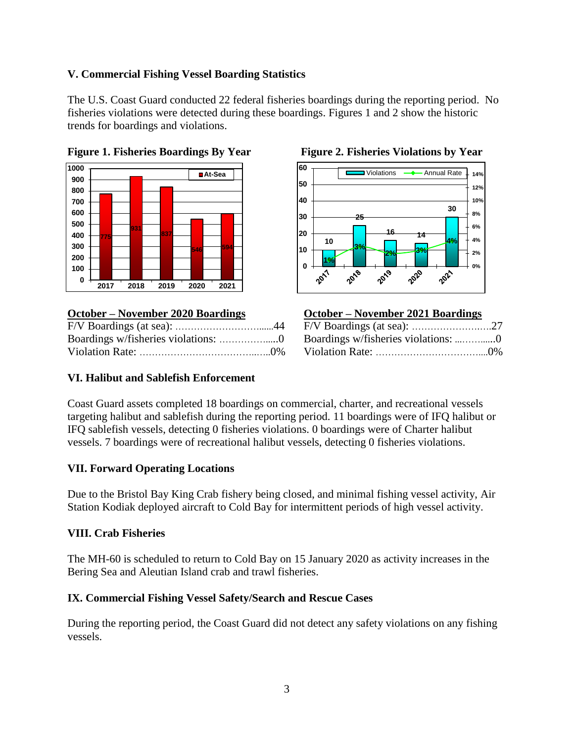### **V. Commercial Fishing Vessel Boarding Statistics**

The U.S. Coast Guard conducted 22 federal fisheries boardings during the reporting period. No fisheries violations were detected during these boardings. Figures 1 and 2 show the historic trends for boardings and violations.



### **October – November 2020 Boardings**





| <b>October – November 2021 Boardings</b> |       |
|------------------------------------------|-------|
|                                          |       |
|                                          |       |
| Violation Rate:                          | $0\%$ |

#### **VI. Halibut and Sablefish Enforcement**

Coast Guard assets completed 18 boardings on commercial, charter, and recreational vessels targeting halibut and sablefish during the reporting period. 11 boardings were of IFQ halibut or IFQ sablefish vessels, detecting 0 fisheries violations. 0 boardings were of Charter halibut vessels. 7 boardings were of recreational halibut vessels, detecting 0 fisheries violations.

#### **VII. Forward Operating Locations**

Due to the Bristol Bay King Crab fishery being closed, and minimal fishing vessel activity, Air Station Kodiak deployed aircraft to Cold Bay for intermittent periods of high vessel activity.

#### **VIII. Crab Fisheries**

The MH-60 is scheduled to return to Cold Bay on 15 January 2020 as activity increases in the Bering Sea and Aleutian Island crab and trawl fisheries.

#### **IX. Commercial Fishing Vessel Safety/Search and Rescue Cases**

During the reporting period, the Coast Guard did not detect any safety violations on any fishing vessels.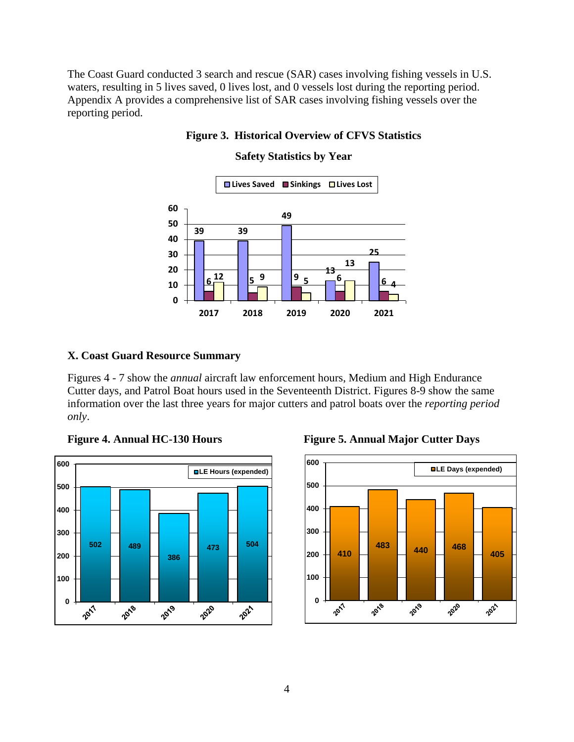The Coast Guard conducted 3 search and rescue (SAR) cases involving fishing vessels in U.S. waters, resulting in 5 lives saved, 0 lives lost, and 0 vessels lost during the reporting period. Appendix A provides a comprehensive list of SAR cases involving fishing vessels over the reporting period.

#### **Figure 3. Historical Overview of CFVS Statistics**

#### **39 5 <sup>6</sup> <sup>6</sup>**  $\frac{12}{5}$  |  $\frac{1}{5}$  9 **2018 2019 2020 2021 Lives Saved Sinkings Lives Lost**

#### **Safety Statistics by Year**

#### **X. Coast Guard Resource Summary**

Figures 4 - 7 show the *annual* aircraft law enforcement hours, Medium and High Endurance Cutter days, and Patrol Boat hours used in the Seventeenth District. Figures 8-9 show the same information over the last three years for major cutters and patrol boats over the *reporting period only*.





**Figure 4. Annual HC-130 Hours Figure 5. Annual Major Cutter Days**

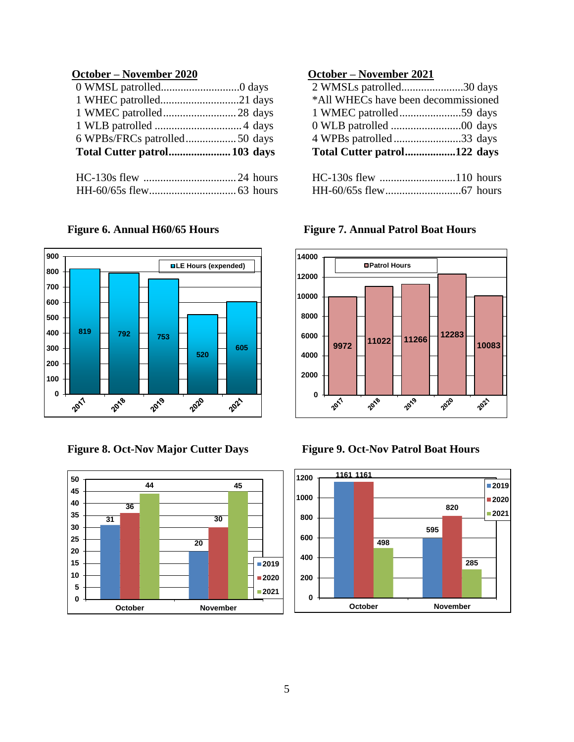### **October – November 2020 October – November 2021**

|  | Total Cutter patrol122 days         |  |
|--|-------------------------------------|--|
|  | 4 WPBs patrolled33 days             |  |
|  |                                     |  |
|  |                                     |  |
|  | *All WHECs have been decommissioned |  |
|  | 2 WMSLs patrolled30 days            |  |





| Total Cutter patrol 103 days | Total Cutter patrol122 days         |  |
|------------------------------|-------------------------------------|--|
|                              | 4 WPBs patrolled33 days             |  |
|                              |                                     |  |
|                              |                                     |  |
|                              | *All WHECs have been decommissioned |  |
|                              | 2 WMSLs patrolled30 days            |  |

| HC-130s flew 110 hours |  |
|------------------------|--|
|                        |  |

**Figure 6. Annual H60/65 Hours Figure 7. Annual Patrol Boat Hours**



### **Figure 8. Oct-Nov Major Cutter Days Figure 9. Oct-Nov Patrol Boat Hours**